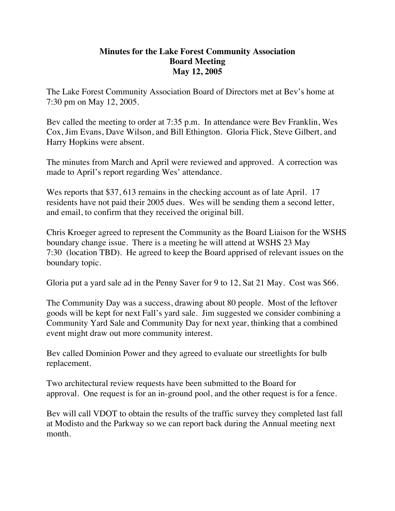## **Minutes for the Lake Forest Community Association Board Meeting May 12, 2005**

The Lake Forest Community Association Board of Directors met at Bev's home at 7:30 pm on May 12, 2005.

Bev called the meeting to order at 7:35 p.m. In attendance were Bev Franklin, Wes Cox, Jim Evans, Dave Wilson, and Bill Ethington. Gloria Flick, Steve Gilbert, and Harry Hopkins were absent.

The minutes from March and April were reviewed and approved. A correction was made to April's report regarding Wes' attendance.

Wes reports that \$37, 613 remains in the checking account as of late April. 17 residents have not paid their 2005 dues. Wes will be sending them a second letter, and email, to confirm that they received the original bill.

Chris Kroeger agreed to represent the Community as the Board Liaison for the WSHS boundary change issue. There is a meeting he will attend at WSHS 23 May 7:30 (location TBD). He agreed to keep the Board apprised of relevant issues on the boundary topic.

Gloria put a yard sale ad in the Penny Saver for 9 to 12, Sat 21 May. Cost was \$66.

The Community Day was a success, drawing about 80 people. Most of the leftover goods will be kept for next Fall's yard sale. Jim suggested we consider combining a Community Yard Sale and Community Day for next year, thinking that a combined event might draw out more community interest.

Bev called Dominion Power and they agreed to evaluate our streetlights for bulb replacement.

Two architectural review requests have been submitted to the Board for approval. One request is for an in-ground pool, and the other request is for a fence.

Bev will call VDOT to obtain the results of the traffic survey they completed last fall at Modisto and the Parkway so we can report back during the Annual meeting next month.